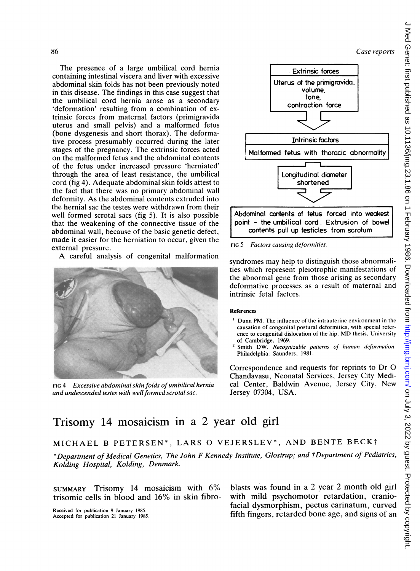Case reports

The presence of a large umbilical cord hernia containing intestinal viscera and liver with excessive abdominal skin folds has not been previously noted in this disease. The findings in this case suggest that the umbilical cord hernia arose as a secondary 'deformation' resulting from a combination of extrinsic forces from maternal factors (primigravida uterus and small pelvis) and a malformed fetus (bone dysgenesis and short thorax). The deformative process presumably occurred during the later stages of the pregnancy. The extrinsic forces acted on the malformed fetus and the abdominal contents of the fetus under increased pressure 'herniated' through the area of least resistance, the umbilical cord (fig 4). Adequate abdominal skin folds attest to the fact that there was no primary abdominal wall deformity. As the abdominal contents extruded into the hernial sac the testes were withdrawn from their well formed scrotal sacs (fig 5). It is also possible that the weakening of the connective tissue of the abdominal wall, because of the basic genetic defect, made it easier for the herniation to occur, given the external pressure. Theprotector of a large universite cord bendies on the correspondence of the permission of the control of the finance of the control of the control of the control of the control of the control of the control of the contr

A careful analysis of congenital malformation





contents pull up testicles from scrotum FIG 5 Factors causing deformities.

syndromes may help to distinguish those abnormali-

ties which represent pleiotrophic manifestations of the abnormal gene from those arising as secondary deformative processes as a result of maternal and intrinsic fetal factors.

### References

- Dunn PM. The influence of the intrauterine environment in the causation of congcnital postural deformities, with special reference to congenital dislocation of the hip. MD thcsis, University of Cambridge, 1969.
- Smith DW. Recognizable patterns of human deformation. Philadelphia: Saunders, 1981.

Correspondence and requests for reprints to Dr 0 Chandavasu, Neonatal Services, Jersey City Medical Center, Baldwin Avenue, Jersey City, New Jersey 07304, USA.

# Trisomy 14 mosaicism in a 2 year old girl

## MICHAEL <sup>B</sup> PETERSEN\*, LARS 0 VEJERSLEV\*, AND BENTE BECKt

\*Department of Medical Genetics, The John F Kennedy Institute, Glostrup; and tDepartment of Pediatrics, Kolding Hospital, Kolding, Denmark.

trisomic cells in blood and 16% in skin fibro-

SUMMARY Trisomy <sup>14</sup> mosaicism with 6% blasts was found in <sup>a</sup> <sup>2</sup> year <sup>2</sup> month old girl Received for publication 9 January 1985.<br>Accepted for publication 21 January 1985.<br>**fifth fingers, retarded bone age, and signs of an**<br>**fifth fingers**, retarded bone age, and signs of an fifth fingers, retarded bone age, and signs of an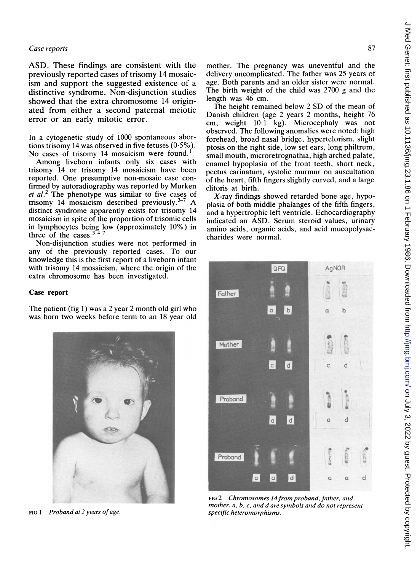ASD. These findings are consistent with the previously reported cases of trisomy 14 mosaicism and support the suggested existence of a distinctive syndrome. Non-disjunction studies showed that the extra chromosome 14 originated from either a second paternal meiotic error or an early mitotic error.

In a cytogenetic study of 1000 spontaneous abortions trisomy 14 was observed in five fetuses (0-5%). No cases of trisomy 14 mosaicism were found.<sup>1</sup>

Among liveborn infants only six cases with trisomy 14 or trisomy 14 mosaicism have been reported. One presumptive non-mosaic case confirmed by autoradiography was reported by Murken et al.<sup>2</sup> The phenotype was similar to five cases of trisomy 14 mosaicism described previously. $3-7$  A distinct syndrome apparently exists for trisomy 14 mosaicism in spite of the proportion of trisomic cells in lymphocytes being low (approximately 10%) in three of the cases. $3<sup>2</sup>$ 

Non-disjunction studies were not performed in any of the previously reported cases. To our knowledge this is the first report of a liveborn infant with trisomy 14 mosaicism, where the origin of the extra chromosome has been investigated.

#### Case report

The patient (fig 1) was a 2 year 2 month old girl who was born two weeks before term to an 18 year old



FIG 1 Proband at 2 years of age.

mother. The pregnancy was uneventful and the delivery uncomplicated. The father was 25 years of age. Both parents and an older sister were normal. The birth weight of the child was 2700 g and the length was 46 cm.

The height remained below <sup>2</sup> SD of the mean of Danish children (age 2 years 2 months, height 76 cm, weight 10-1 kg). Microcephaly was not observed. The following anomalies were noted: high forehead, broad nasal bridge, hypertelorism, slight ptosis on the right side, low set ears, long philtrum, small mouth, microretrognathia, high arched palate, enamel hypoplasia of the front teeth, short neck, pectus carinatum, systolic murmur on auscultation of the heart, fifth fingers slightly curved, and a large clitoris at birth.

 $X$ -ray findings showed retarded bone age, hypoplasia of both middle phalanges of the fifth fingers, and a hypertrophic left ventricle. Echocardiography indicated an ASD. Serum steroid values, urinary amino acids, organic acids, and acid mucopolysaccharides were normal.



FIG 2 Chromosomes 14 from proband, father, and mother. a, b, c, and d are symbols and do not represent specific heteromorphisms.